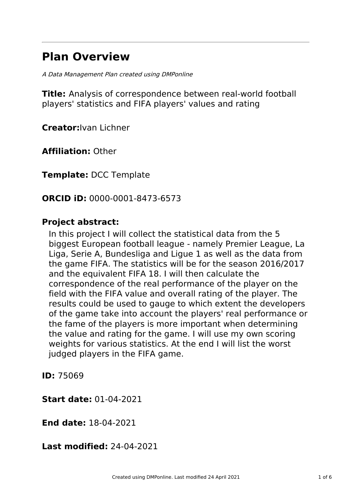# **Plan Overview**

A Data Management Plan created using DMPonline

**Title:** Analysis of correspondence between real-world football players' statistics and FIFA players' values and rating

**Creator:**Ivan Lichner

**Affiliation:** Other

**Template:** DCC Template

**ORCID iD:** 0000-0001-8473-6573

## **Project abstract:**

In this project I will collect the statistical data from the 5 biggest European football league - namely Premier League, La Liga, Serie A, Bundesliga and Ligue 1 as well as the data from the game FIFA. The statistics will be for the season 2016/2017 and the equivalent FIFA 18. I will then calculate the correspondence of the real performance of the player on the field with the FIFA value and overall rating of the player. The results could be used to gauge to which extent the developers of the game take into account the players' real performance or the fame of the players is more important when determining the value and rating for the game. I will use my own scoring weights for various statistics. At the end I will list the worst judged players in the FIFA game.

**ID:** 75069

**Start date:** 01-04-2021

**End date:** 18-04-2021

**Last modified:** 24-04-2021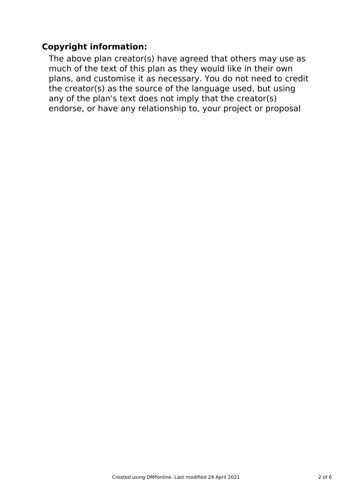# **Copyright information:**

The above plan creator(s) have agreed that others may use as much of the text of this plan as they would like in their own plans, and customise it as necessary. You do not need to credit the creator(s) as the source of the language used, but using any of the plan's text does not imply that the creator(s) endorse, or have any relationship to, your project or proposal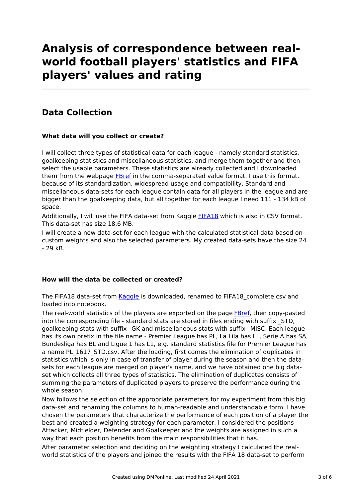# **Analysis of correspondence between realworld football players' statistics and FIFA players' values and rating**

# **Data Collection**

#### **What data will you collect or create?**

I will collect three types of statistical data for each league - namely standard statistics, goalkeeping statistics and miscellaneous statistics, and merge them together and then select the usable parameters. These statistics are already collected and I downloaded them from the webpage [FBref](https://fbref.com) in the comma-separated value format. I use this format, because of its standardization, widespread usage and compatibility. Standard and miscellaneous data-sets for each league contain data for all players in the league and are bigger than the goalkeeping data, but all together for each league I need 111 - 134 kB of space.

Additionally, I will use the FIFA data-set from Kaggle [FIFA18](https://www.kaggle.com/kevinmh/fifa-18-more-complete-player-dataset) which is also in CSV format. This data-set has size 18,6 MB.

I will create a new data-set for each league with the calculated statistical data based on custom weights and also the selected parameters. My created data-sets have the size 24 - 29 kB.

#### **How will the data be collected or created?**

The FIFA18 data-set from [Kaggle](https://www.kaggle.com/kevinmh/fifa-18-more-complete-player-dataset) is downloaded, renamed to FIFA18 complete.csv and loaded into notebook.

The real-world statistics of the players are exported on the page **[FBref](https://fbref.com)**, then copy-pasted into the corresponding file - standard stats are stored in files ending with suffix STD, goalkeeping stats with suffix \_GK and miscellaneous stats with suffix \_MISC. Each league has its own prefix in the file name - Premier League has PL, La Lila has LL, Serie A has SA, Bundesliga has BL and Ligue 1 has L1, e.g. standard statistics file for Premier League has a name PL 1617 STD.csv. After the loading, first comes the elimination of duplicates in statistics which is only in case of transfer of player during the season and then the datasets for each league are merged on player's name, and we have obtained one big dataset which collects all three types of statistics. The elimination of duplicates consists of summing the parameters of duplicated players to preserve the performance during the whole season.

Now follows the selection of the appropriate parameters for my experiment from this big data-set and renaming the columns to human-readable and understandable form. I have chosen the parameters that characterize the performance of each position of a player the best and created a weighting strategy for each parameter. I considered the positions Attacker, Midfielder, Defender and Goalkeeper and the weights are assigned in such a way that each position benefits from the main responsibilities that it has.

After parameter selection and deciding on the weighting strategy I calculated the realworld statistics of the players and joined the results with the FIFA 18 data-set to perform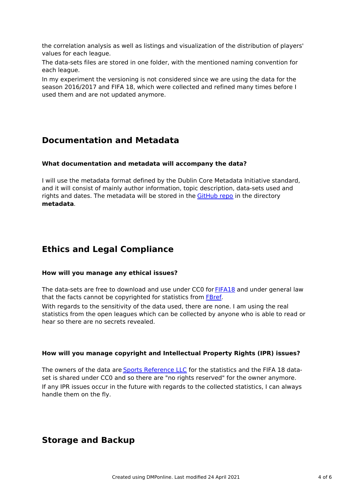the correlation analysis as well as listings and visualization of the distribution of players' values for each league.

The data-sets files are stored in one folder, with the mentioned naming convention for each league.

In my experiment the versioning is not considered since we are using the data for the season 2016/2017 and FIFA 18, which were collected and refined many times before I used them and are not updated anymore.

## **Documentation and Metadata**

#### **What documentation and metadata will accompany the data?**

I will use the metadata format defined by the Dublin Core Metadata Initiative standard, and it will consist of mainly author information, topic description, data-sets used and rights and dates. The metadata will be stored in the [GitHub](https://github.com/Aficionado29/CorrAnalysis) repo in the directory **metadata**.

# **Ethics and Legal Compliance**

#### **How will you manage any ethical issues?**

The data-sets are free to download and use under CC0 for [FIFA18](https://www.kaggle.com/kevinmh/fifa-18-more-complete-player-dataset) and under general law that the facts cannot be copyrighted for statistics from [FBref](https://fbref.com).

With regards to the sensitivity of the data used, there are none. I am using the real statistics from the open leagues which can be collected by anyone who is able to read or hear so there are no secrets revealed.

#### **How will you manage copyright and Intellectual Property Rights (IPR) issues?**

The owners of the data are Sports [Reference](https://www.sports-reference.com) LLC for the statistics and the FIFA 18 dataset is shared under CC0 and so there are "no rights reserved" for the owner anymore. If any IPR issues occur in the future with regards to the collected statistics, I can always handle them on the fly.

### **Storage and Backup**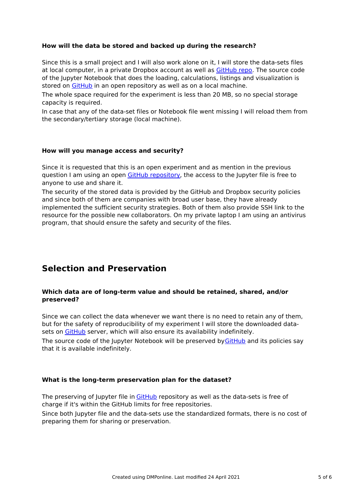#### **How will the data be stored and backed up during the research?**

Since this is a small project and I will also work alone on it, I will store the data-sets files at local computer, in a private Dropbox account as well as [GitHub](https://github.com/Aficionado29/CorrAnalysis) repo. The source code of the Jupyter Notebook that does the loading, calculations, listings and visualization is stored on [GitHub](https://github.com/Aficionado29/CorrAnalysis) in an open repository as well as on a local machine.

The whole space required for the experiment is less than 20 MB, so no special storage capacity is required.

In case that any of the data-set files or Notebook file went missing I will reload them from the secondary/tertiary storage (local machine).

#### **How will you manage access and security?**

Since it is requested that this is an open experiment and as mention in the previous question I am using an open GitHub [repository](https://github.com/Aficionado29/CorrAnalysis), the access to the Jupyter file is free to anyone to use and share it.

The security of the stored data is provided by the GitHub and Dropbox security policies and since both of them are companies with broad user base, they have already implemented the sufficient security strategies. Both of them also provide SSH link to the resource for the possible new collaborators. On my private laptop I am using an antivirus program, that should ensure the safety and security of the files.

### **Selection and Preservation**

#### **Which data are of long-term value and should be retained, shared, and/or preserved?**

Since we can collect the data whenever we want there is no need to retain any of them, but for the safety of reproducibility of my experiment I will store the downloaded datasets on [GitHub](https://github.com/Aficionado29/CorrAnalysis) server, which will also ensure its availability indefinitely.

The source code of the Jupyter Notebook will be preserved by [GitHub](https://github.com/Aficionado29/CorrAnalysis) and its policies say that it is available indefinitely.

#### **What is the long-term preservation plan for the dataset?**

The preserving of Jupyter file in [GitHub](https://github.com/Aficionado29/CorrAnalysis) repository as well as the data-sets is free of charge if it's within the GitHub limits for free repositories.

Since both Jupyter file and the data-sets use the standardized formats, there is no cost of preparing them for sharing or preservation.